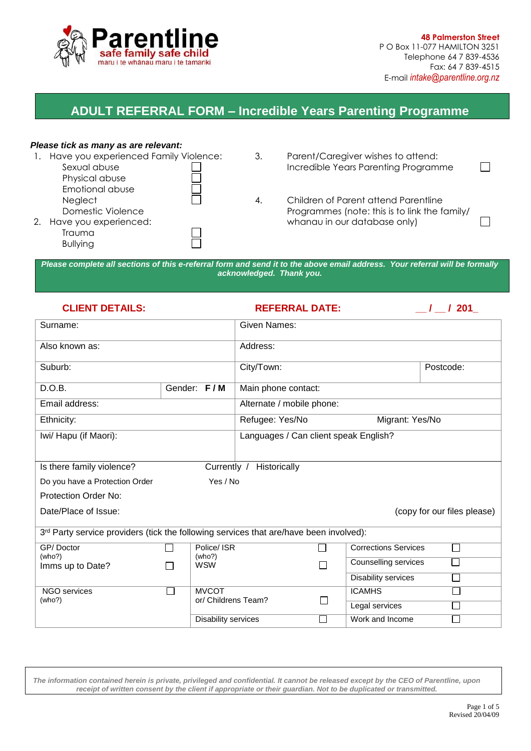

 **48 Palmerston Street** P O Box 11-077 HAMILTON 3251 Telephone 64 7 839-4536 Fax: 64 7 839-4515 E-mail *intake@parentline.org.nz*

# **ADULT REFERRAL FORM – Incredible Years Parenting Programme**

#### *Please tick as many as are relevant:*

| Have you experienced Family Violence:<br>Sexual abuse<br>Physical abuse                               | 3. | Parent/Caregiver wishes to attend:<br>Incredible Years Parenting Programme                                            |  |
|-------------------------------------------------------------------------------------------------------|----|-----------------------------------------------------------------------------------------------------------------------|--|
| Emotional abuse<br>Neglect<br>Domestic Violence<br>Have you experienced:<br>Trauma<br><b>Bullying</b> | 4. | Children of Parent attend Parentline<br>Programmes (note: this is to link the family/<br>whanau in our database only) |  |

*Please complete all sections of this e-referral form and send it to the above email address. Your referral will be formally acknowledged. Thank you.* 

### **CLIENT DETAILS: REFERRAL DATE: \_\_ / \_\_ / 201\_**

| Surname:                                                                               |        |                                     | <b>Given Names:</b>                   |                             |                             |        |  |
|----------------------------------------------------------------------------------------|--------|-------------------------------------|---------------------------------------|-----------------------------|-----------------------------|--------|--|
| Also known as:                                                                         |        |                                     | Address:                              |                             |                             |        |  |
| Suburb:                                                                                |        |                                     | City/Town:<br>Postcode:               |                             |                             |        |  |
| D.O.B.                                                                                 |        | Gender: F/M                         | Main phone contact:                   |                             |                             |        |  |
| Email address:                                                                         |        |                                     | Alternate / mobile phone:             |                             |                             |        |  |
| Ethnicity:                                                                             |        |                                     | Refugee: Yes/No<br>Migrant: Yes/No    |                             |                             |        |  |
| Iwi/ Hapu (if Maori):                                                                  |        |                                     | Languages / Can client speak English? |                             |                             |        |  |
| Is there family violence?<br>Currently /                                               |        |                                     | Historically                          |                             |                             |        |  |
| Yes / No<br>Do you have a Protection Order                                             |        |                                     |                                       |                             |                             |        |  |
| <b>Protection Order No:</b>                                                            |        |                                     |                                       |                             |                             |        |  |
| Date/Place of Issue:                                                                   |        |                                     |                                       | (copy for our files please) |                             |        |  |
| 3rd Party service providers (tick the following services that are/have been involved): |        |                                     |                                       |                             |                             |        |  |
| GP/Doctor<br>(who?)                                                                    |        | Police/ ISR<br>(who?)               |                                       |                             | <b>Corrections Services</b> | $\Box$ |  |
| Imms up to Date?                                                                       |        | <b>WSW</b>                          |                                       |                             | Counselling services        | П      |  |
|                                                                                        |        |                                     |                                       |                             | Disability services         | m.     |  |
| <b>NGO</b> services<br>(who?)                                                          | $\sim$ | <b>MVCOT</b><br>or/ Childrens Team? | $\Box$                                |                             | <b>ICAMHS</b>               |        |  |
|                                                                                        |        |                                     |                                       |                             | Legal services              |        |  |
|                                                                                        |        | Disability services                 |                                       | П                           | Work and Income             |        |  |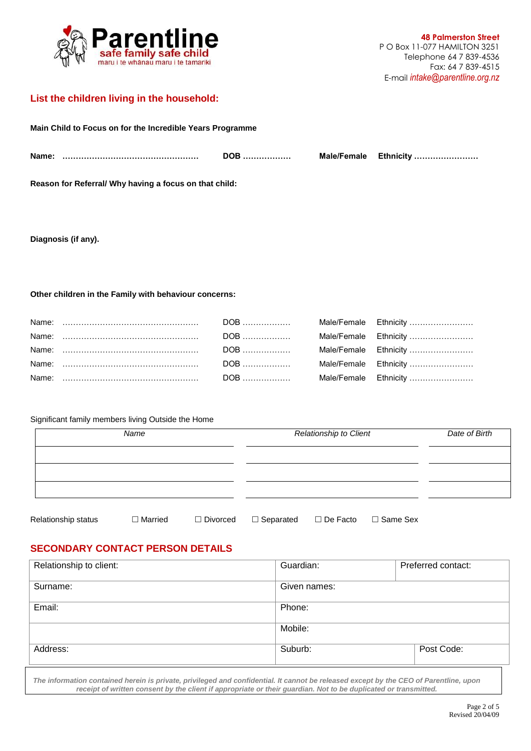

## **List the children living in the household:**

| Main Child to Focus on for the Incredible Years Programme |            |  |                       |  |  |
|-----------------------------------------------------------|------------|--|-----------------------|--|--|
|                                                           | DOB ……………… |  | Male/Female Ethnicity |  |  |
| Reason for Referral/ Why having a focus on that child:    |            |  |                       |  |  |

**Diagnosis (if any).** 

**Other children in the Family with behaviour concerns:**

#### Significant family members living Outside the Home

| Name                |                | Relationship to Client |                  |                    | Date of Birth |  |
|---------------------|----------------|------------------------|------------------|--------------------|---------------|--|
|                     |                |                        |                  |                    |               |  |
|                     |                |                        |                  |                    |               |  |
| Relationship status | $\Box$ Married | $\Box$ Divorced        | $\Box$ Separated | $\square$ De Facto | □ Same Sex    |  |

# **SECONDARY CONTACT PERSON DETAILS**

| Relationship to client: | Guardian:    | Preferred contact: |
|-------------------------|--------------|--------------------|
| Surname:                | Given names: |                    |
| Email:                  | Phone:       |                    |
|                         | Mobile:      |                    |
| Address:                | Suburb:      | Post Code:         |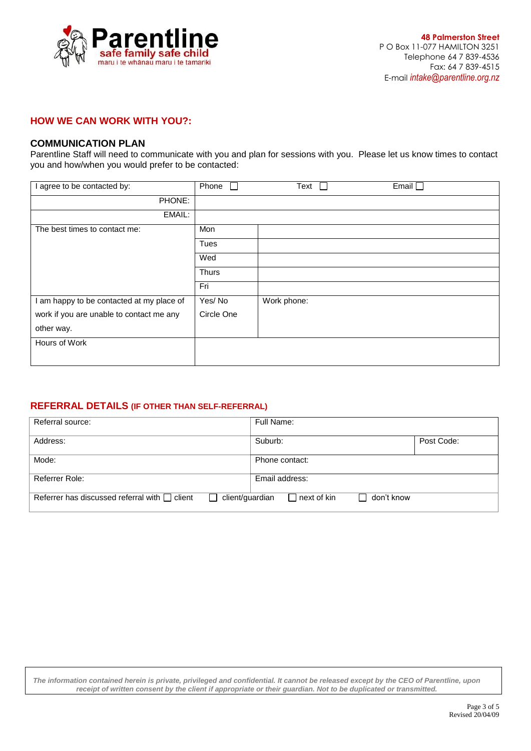

#### **HOW WE CAN WORK WITH YOU?:**

#### **COMMUNICATION PLAN**

Parentline Staff will need to communicate with you and plan for sessions with you. Please let us know times to contact you and how/when you would prefer to be contacted:

| I agree to be contacted by:               | Phone        | Text        | Email $\square$ |
|-------------------------------------------|--------------|-------------|-----------------|
| PHONE:                                    |              |             |                 |
| EMAIL:                                    |              |             |                 |
| The best times to contact me:             | Mon          |             |                 |
|                                           | <b>Tues</b>  |             |                 |
|                                           | Wed          |             |                 |
|                                           | <b>Thurs</b> |             |                 |
|                                           | Fri          |             |                 |
| I am happy to be contacted at my place of | Yes/No       | Work phone: |                 |
| work if you are unable to contact me any  | Circle One   |             |                 |
| other way.                                |              |             |                 |
| Hours of Work                             |              |             |                 |
|                                           |              |             |                 |

#### **REFERRAL DETAILS (IF OTHER THAN SELF-REFERRAL)**

| Referral source:                                                      | Full Name:                                                                                   |
|-----------------------------------------------------------------------|----------------------------------------------------------------------------------------------|
| Address:                                                              | Post Code:<br>Suburb:                                                                        |
| Mode:                                                                 | Phone contact:                                                                               |
| Referrer Role:                                                        | Email address:                                                                               |
| Referrer has discussed referral with $\Box$ client<br>client/guardian | $\mathsf{\color{red}\mathsf{\color{black}}\mathsf{\color{black}}}$ next of kin<br>don't know |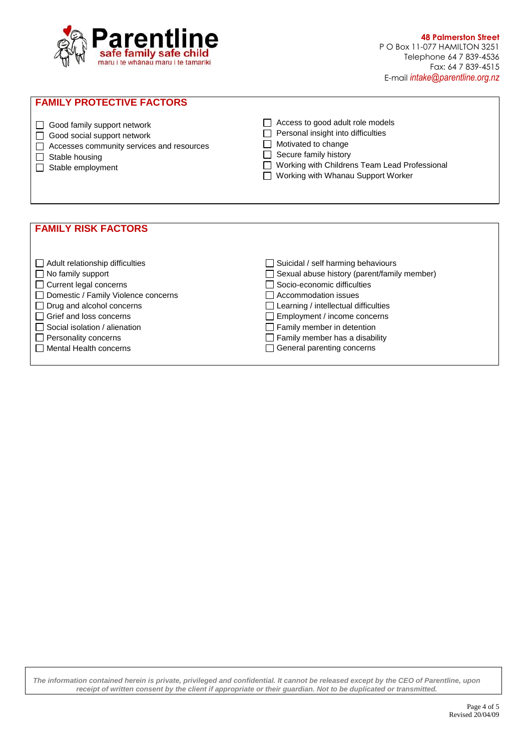

 **48 Palmerston Street** P O Box 11-077 HAMILTON 3251 Telephone 64 7 839-4536 Fax: 64 7 839-4515 E-mail *intake@parentline.org.nz*

# **FAMILY PROTECTIVE FACTORS**



- Good social support network
- □ Accesses community services and resources
- $\Box$  Stable housing
- $\Box$  Stable employment

□ Access to good adult role models  $\Box$  Personal insight into difficulties

Motivated to change

- $\Box$  Secure family history
- □ Working with Childrens Team Lead Professional
- Working with Whanau Support Worker

#### **FAMILY RISK FACTORS**

| Adult relationship difficulties       | $\Box$ Suicidal / self harming behaviours          |
|---------------------------------------|----------------------------------------------------|
| $\Box$ No family support              | $\Box$ Sexual abuse history (parent/family member) |
| $\Box$ Current legal concerns         | □ Socio-economic difficulties                      |
| □ Domestic / Family Violence concerns | $\Box$ Accommodation issues                        |
| $\Box$ Drug and alcohol concerns      | $\Box$ Learning / intellectual difficulties        |
| $\Box$ Grief and loss concerns        | $\Box$ Employment / income concerns                |
| $\Box$ Social isolation / alienation  | $\Box$ Family member in detention                  |
| $\Box$ Personality concerns           | $\Box$ Family member has a disability              |
| $\Box$ Mental Health concerns         | $\Box$ General parenting concerns                  |
|                                       |                                                    |